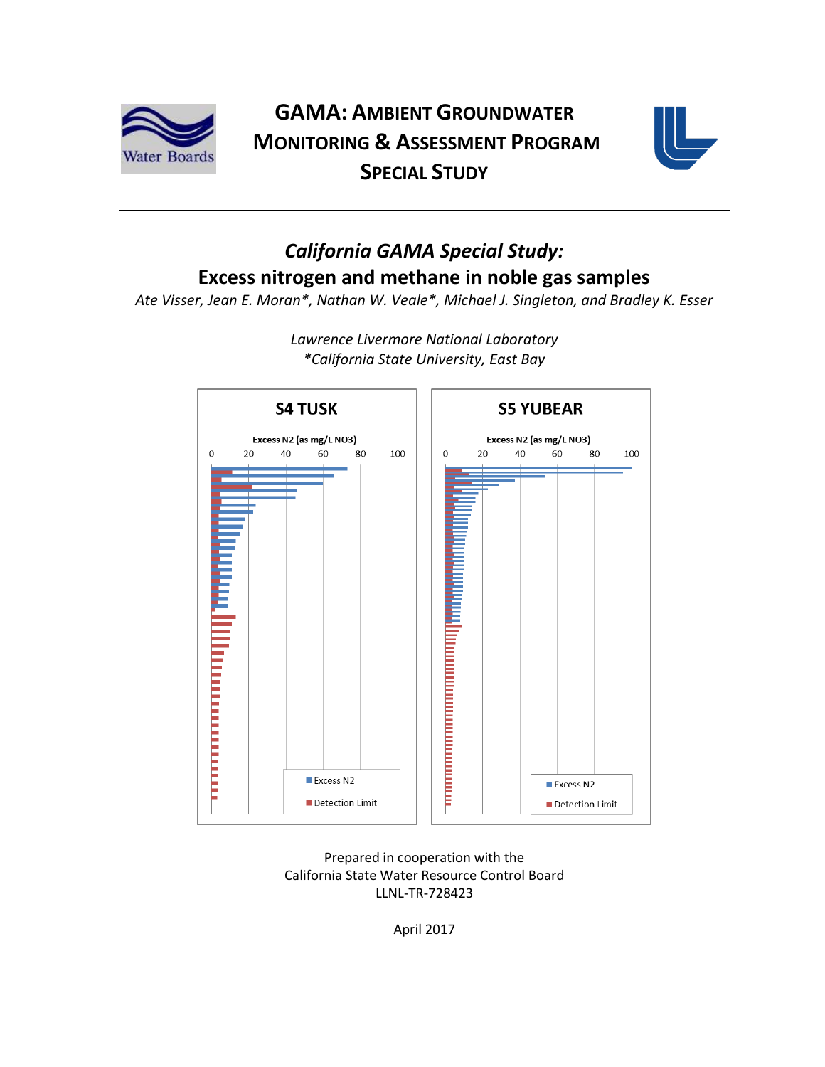

# **GAMA: AMBIENT GROUNDWATER MONITORING & ASSESSMENT PROGRAM SPECIAL STUDY**



# *California GAMA Special Study:* **Excess nitrogen and methane in noble gas samples**

*Ate Visser, Jean E. Moran\*, Nathan W. Veale\*, Michael J. Singleton, and Bradley K. Esser*



*Lawrence Livermore National Laboratory \*California State University, East Bay*

Prepared in cooperation with the California State Water Resource Control Board LLNL-TR-728423

April 2017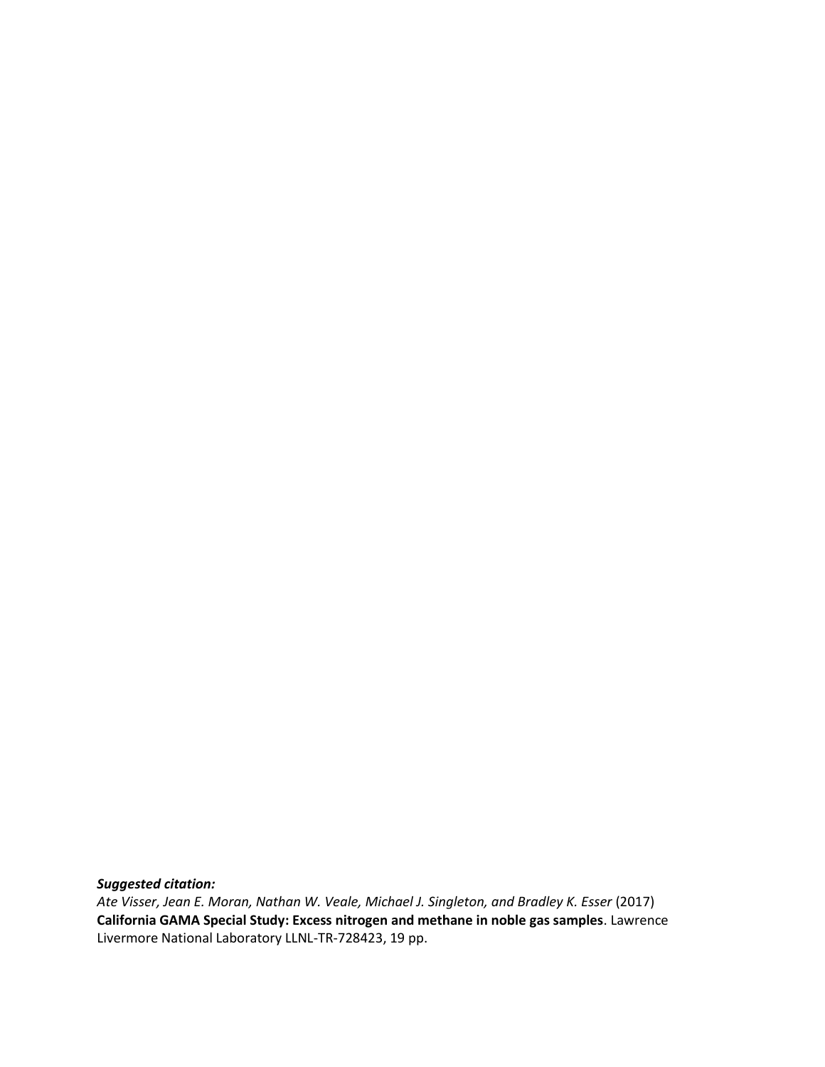*Suggested citation:*

*Ate Visser, Jean E. Moran, Nathan W. Veale, Michael J. Singleton, and Bradley K. Esser* (2017) **California GAMA Special Study: Excess nitrogen and methane in noble gas samples**. Lawrence Livermore National Laboratory LLNL-TR-728423, 19 pp.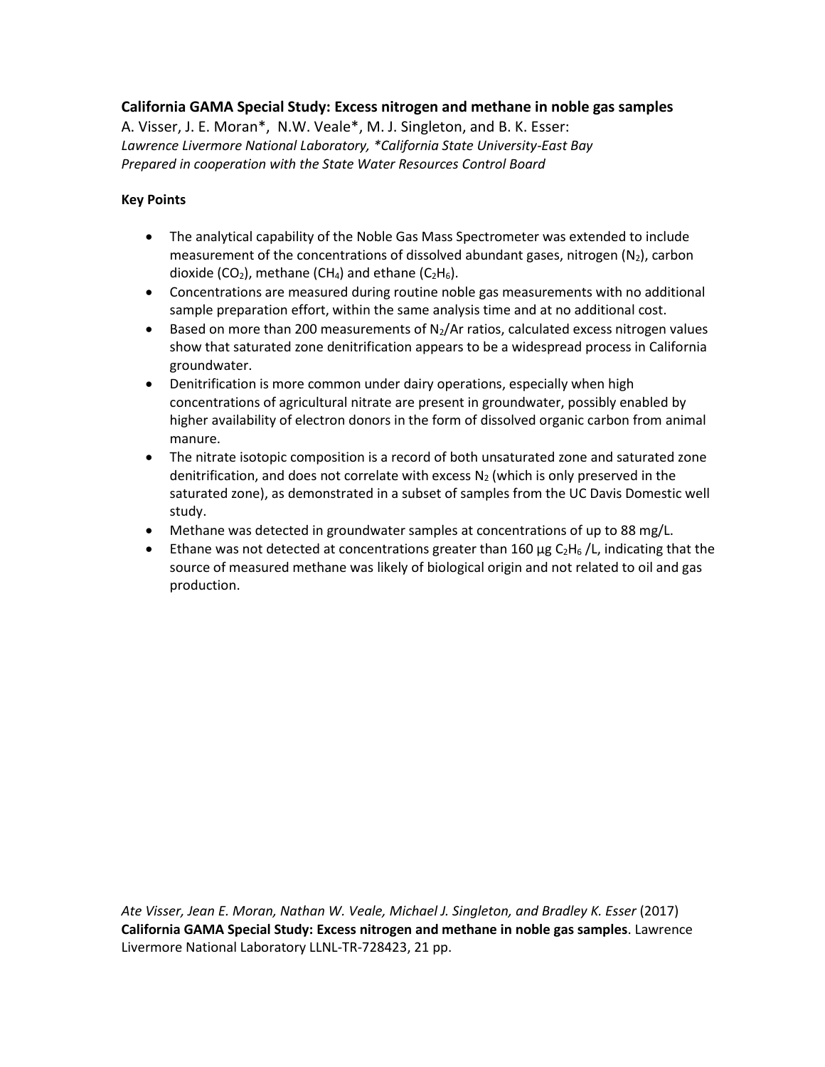#### **California GAMA Special Study: Excess nitrogen and methane in noble gas samples**

A. Visser, J. E. Moran\*, N.W. Veale\*, M. J. Singleton, and B. K. Esser: *Lawrence Livermore National Laboratory, \*California State University-East Bay Prepared in cooperation with the State Water Resources Control Board*

#### **Key Points**

- The analytical capability of the Noble Gas Mass Spectrometer was extended to include measurement of the concentrations of dissolved abundant gases, nitrogen  $(N_2)$ , carbon dioxide (CO<sub>2</sub>), methane (CH<sub>4</sub>) and ethane (C<sub>2</sub>H<sub>6</sub>).
- Concentrations are measured during routine noble gas measurements with no additional sample preparation effort, within the same analysis time and at no additional cost.
- $\bullet$  Based on more than 200 measurements of N<sub>2</sub>/Ar ratios, calculated excess nitrogen values show that saturated zone denitrification appears to be a widespread process in California groundwater.
- Denitrification is more common under dairy operations, especially when high concentrations of agricultural nitrate are present in groundwater, possibly enabled by higher availability of electron donors in the form of dissolved organic carbon from animal manure.
- The nitrate isotopic composition is a record of both unsaturated zone and saturated zone denitrification, and does not correlate with excess  $N_2$  (which is only preserved in the saturated zone), as demonstrated in a subset of samples from the UC Davis Domestic well study.
- Methane was detected in groundwater samples at concentrations of up to 88 mg/L.
- Ethane was not detected at concentrations greater than 160  $\mu$ g C<sub>2</sub>H<sub>6</sub> /L, indicating that the source of measured methane was likely of biological origin and not related to oil and gas production.

*Ate Visser, Jean E. Moran, Nathan W. Veale, Michael J. Singleton, and Bradley K. Esser* (2017) **California GAMA Special Study: Excess nitrogen and methane in noble gas samples**. Lawrence Livermore National Laboratory LLNL-TR-728423, 21 pp.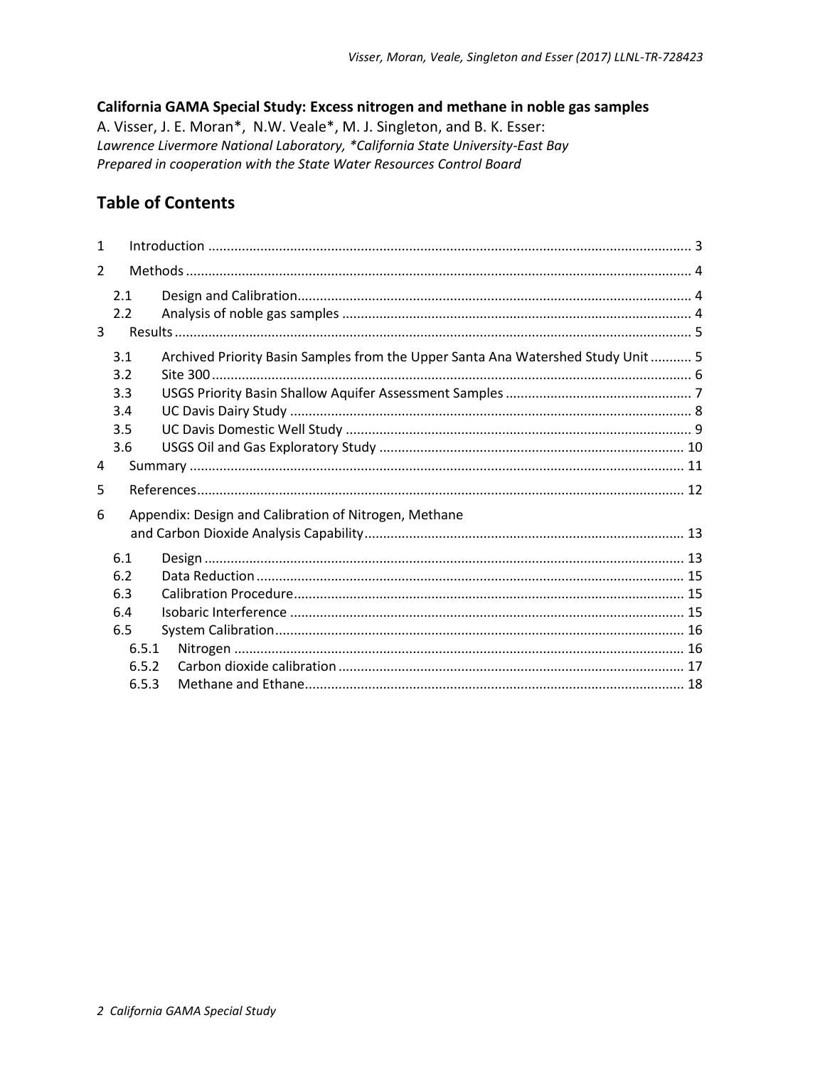#### California GAMA Special Study: Excess nitrogen and methane in noble gas samples

A. Visser, J. E. Moran\*, N.W. Veale\*, M. J. Singleton, and B. K. Esser: Lawrence Livermore National Laboratory, \*California State University-East Bay Prepared in cooperation with the State Water Resources Control Board

#### **Table of Contents**

| 2.1<br>2.2                                                 |                                                                                  |                         |  |  |  |  |
|------------------------------------------------------------|----------------------------------------------------------------------------------|-------------------------|--|--|--|--|
| 3.1<br>3.2<br>3.3<br>3.4                                   | Archived Priority Basin Samples from the Upper Santa Ana Watershed Study Unit  5 |                         |  |  |  |  |
| 3.5<br>3.6                                                 |                                                                                  |                         |  |  |  |  |
|                                                            |                                                                                  |                         |  |  |  |  |
|                                                            |                                                                                  |                         |  |  |  |  |
| Appendix: Design and Calibration of Nitrogen, Methane<br>6 |                                                                                  |                         |  |  |  |  |
| 6.1<br>6.2<br>6.3<br>6.4<br>6.5                            |                                                                                  |                         |  |  |  |  |
|                                                            |                                                                                  | 6.5.1<br>6.5.2<br>6.5.3 |  |  |  |  |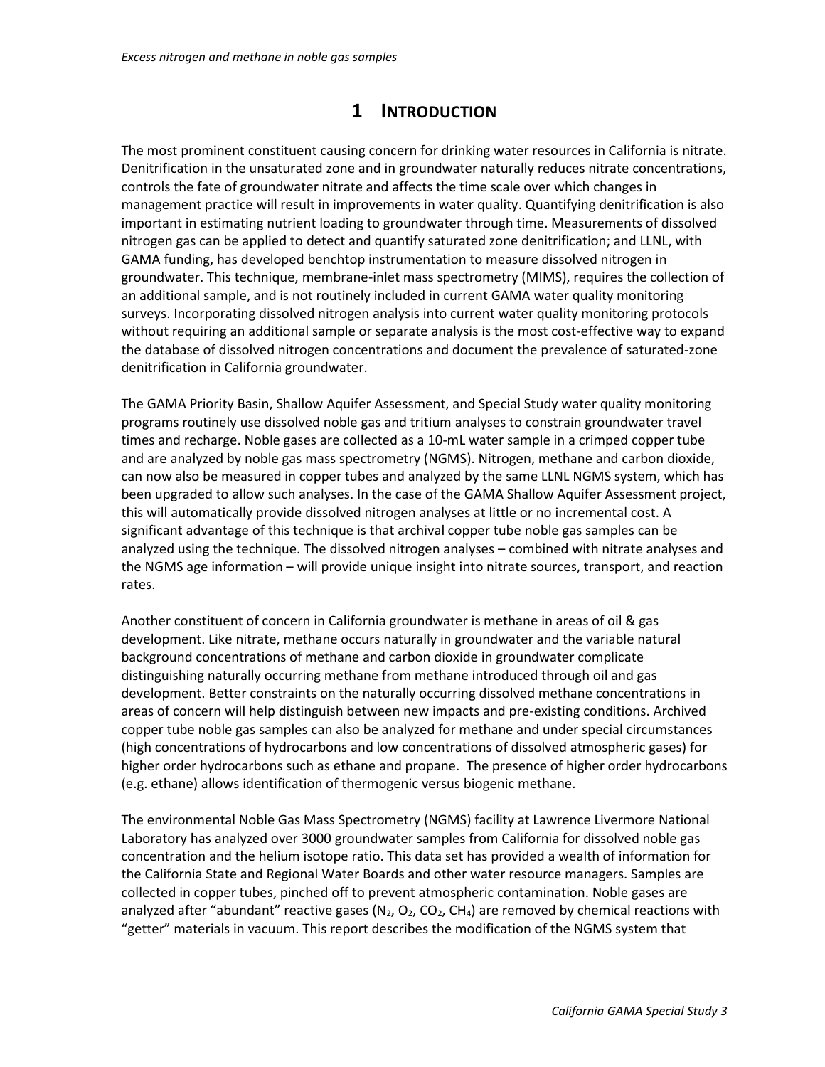### **1 INTRODUCTION**

<span id="page-4-0"></span>The most prominent constituent causing concern for drinking water resources in California is nitrate. Denitrification in the unsaturated zone and in groundwater naturally reduces nitrate concentrations, controls the fate of groundwater nitrate and affects the time scale over which changes in management practice will result in improvements in water quality. Quantifying denitrification is also important in estimating nutrient loading to groundwater through time. Measurements of dissolved nitrogen gas can be applied to detect and quantify saturated zone denitrification; and LLNL, with GAMA funding, has developed benchtop instrumentation to measure dissolved nitrogen in groundwater. This technique, membrane-inlet mass spectrometry (MIMS), requires the collection of an additional sample, and is not routinely included in current GAMA water quality monitoring surveys. Incorporating dissolved nitrogen analysis into current water quality monitoring protocols without requiring an additional sample or separate analysis is the most cost-effective way to expand the database of dissolved nitrogen concentrations and document the prevalence of saturated-zone denitrification in California groundwater.

The GAMA Priority Basin, Shallow Aquifer Assessment, and Special Study water quality monitoring programs routinely use dissolved noble gas and tritium analyses to constrain groundwater travel times and recharge. Noble gases are collected as a 10-mL water sample in a crimped copper tube and are analyzed by noble gas mass spectrometry (NGMS). Nitrogen, methane and carbon dioxide, can now also be measured in copper tubes and analyzed by the same LLNL NGMS system, which has been upgraded to allow such analyses. In the case of the GAMA Shallow Aquifer Assessment project, this will automatically provide dissolved nitrogen analyses at little or no incremental cost. A significant advantage of this technique is that archival copper tube noble gas samples can be analyzed using the technique. The dissolved nitrogen analyses – combined with nitrate analyses and the NGMS age information – will provide unique insight into nitrate sources, transport, and reaction rates.

Another constituent of concern in California groundwater is methane in areas of oil & gas development. Like nitrate, methane occurs naturally in groundwater and the variable natural background concentrations of methane and carbon dioxide in groundwater complicate distinguishing naturally occurring methane from methane introduced through oil and gas development. Better constraints on the naturally occurring dissolved methane concentrations in areas of concern will help distinguish between new impacts and pre-existing conditions. Archived copper tube noble gas samples can also be analyzed for methane and under special circumstances (high concentrations of hydrocarbons and low concentrations of dissolved atmospheric gases) for higher order hydrocarbons such as ethane and propane. The presence of higher order hydrocarbons (e.g. ethane) allows identification of thermogenic versus biogenic methane.

The environmental Noble Gas Mass Spectrometry (NGMS) facility at Lawrence Livermore National Laboratory has analyzed over 3000 groundwater samples from California for dissolved noble gas concentration and the helium isotope ratio. This data set has provided a wealth of information for the California State and Regional Water Boards and other water resource managers. Samples are collected in copper tubes, pinched off to prevent atmospheric contamination. Noble gases are analyzed after "abundant" reactive gases (N<sub>2</sub>, O<sub>2</sub>, CO<sub>2</sub>, CH<sub>4</sub>) are removed by chemical reactions with "getter" materials in vacuum. This report describes the modification of the NGMS system that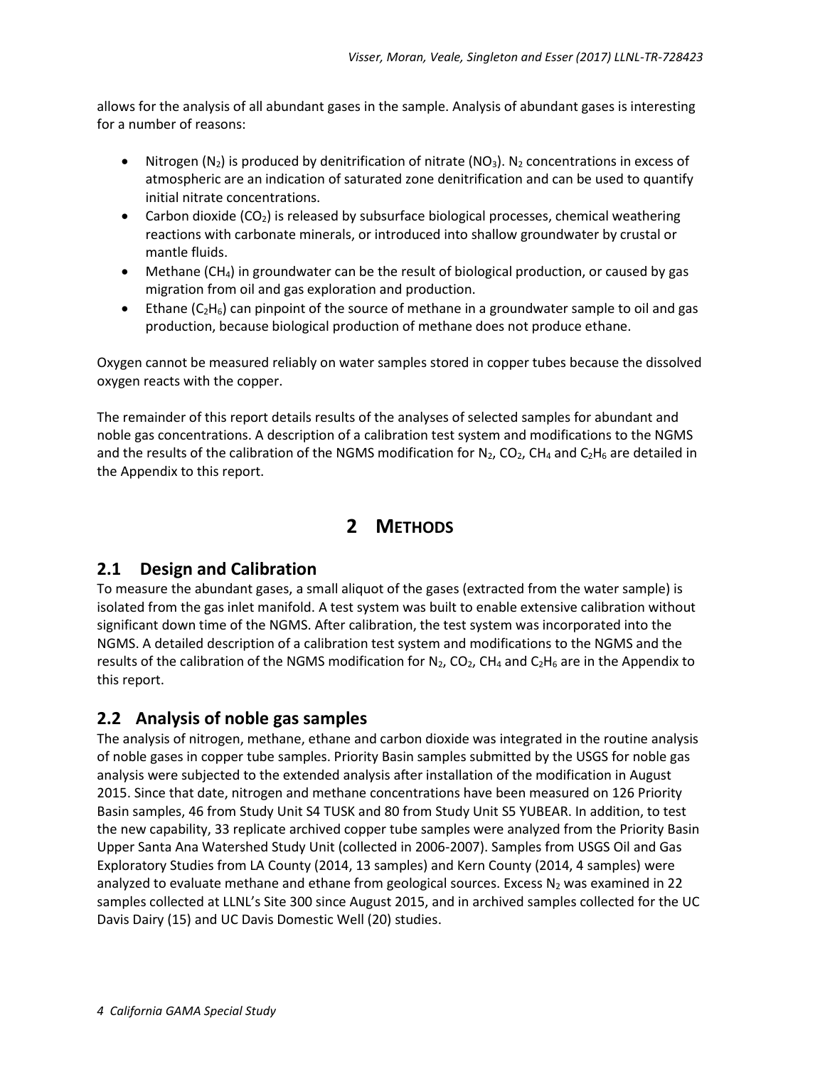allows for the analysis of all abundant gases in the sample. Analysis of abundant gases is interesting for a number of reasons:

- Nitrogen ( $N_2$ ) is produced by denitrification of nitrate ( $N_3$ ). N<sub>2</sub> concentrations in excess of atmospheric are an indication of saturated zone denitrification and can be used to quantify initial nitrate concentrations.
- Carbon dioxide  $(CO_2)$  is released by subsurface biological processes, chemical weathering reactions with carbonate minerals, or introduced into shallow groundwater by crustal or mantle fluids.
- Methane  $(CH_4)$  in groundwater can be the result of biological production, or caused by gas migration from oil and gas exploration and production.
- Ethane  $(C_2H_6)$  can pinpoint of the source of methane in a groundwater sample to oil and gas production, because biological production of methane does not produce ethane.

Oxygen cannot be measured reliably on water samples stored in copper tubes because the dissolved oxygen reacts with the copper.

<span id="page-5-0"></span>The remainder of this report details results of the analyses of selected samples for abundant and noble gas concentrations. A description of a calibration test system and modifications to the NGMS and the results of the calibration of the NGMS modification for  $N_2$ , CO<sub>2</sub>, CH<sub>4</sub> and C<sub>2</sub>H<sub>6</sub> are detailed in the Appendix to this report.

### **2 METHODS**

#### <span id="page-5-1"></span>**2.1 Design and Calibration**

To measure the abundant gases, a small aliquot of the gases (extracted from the water sample) is isolated from the gas inlet manifold. A test system was built to enable extensive calibration without significant down time of the NGMS. After calibration, the test system was incorporated into the NGMS. A detailed description of a calibration test system and modifications to the NGMS and the results of the calibration of the NGMS modification for  $N_2$ ,  $CO_2$ ,  $CH_4$  and  $C_2H_6$  are in the Appendix to this report.

#### <span id="page-5-2"></span>**2.2 Analysis of noble gas samples**

The analysis of nitrogen, methane, ethane and carbon dioxide was integrated in the routine analysis of noble gases in copper tube samples. Priority Basin samples submitted by the USGS for noble gas analysis were subjected to the extended analysis after installation of the modification in August 2015. Since that date, nitrogen and methane concentrations have been measured on 126 Priority Basin samples, 46 from Study Unit S4 TUSK and 80 from Study Unit S5 YUBEAR. In addition, to test the new capability, 33 replicate archived copper tube samples were analyzed from the Priority Basin Upper Santa Ana Watershed Study Unit (collected in 2006-2007). Samples from USGS Oil and Gas Exploratory Studies from LA County (2014, 13 samples) and Kern County (2014, 4 samples) were analyzed to evaluate methane and ethane from geological sources. Excess  $N_2$  was examined in 22 samples collected at LLNL's Site 300 since August 2015, and in archived samples collected for the UC Davis Dairy (15) and UC Davis Domestic Well (20) studies.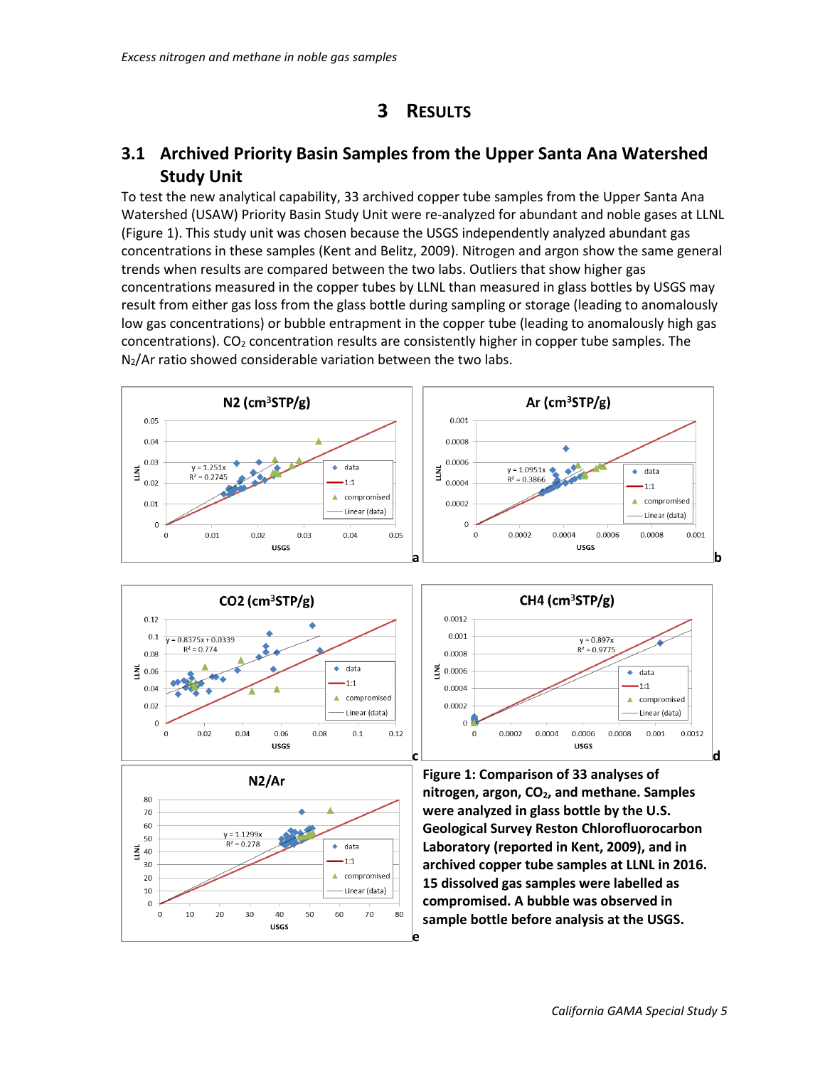## **3 RESULTS**

#### <span id="page-6-1"></span><span id="page-6-0"></span>**3.1 Archived Priority Basin Samples from the Upper Santa Ana Watershed Study Unit**

To test the new analytical capability, 33 archived copper tube samples from the Upper Santa Ana Watershed (USAW) Priority Basin Study Unit were re-analyzed for abundant and noble gases at LLNL (Figure 1). This study unit was chosen because the USGS independently analyzed abundant gas concentrations in these samples [\(Kent and Belitz, 2009\)](#page-13-1). Nitrogen and argon show the same general trends when results are compared between the two labs. Outliers that show higher gas concentrations measured in the copper tubes by LLNL than measured in glass bottles by USGS may result from either gas loss from the glass bottle during sampling or storage (leading to anomalously low gas concentrations) or bubble entrapment in the copper tube (leading to anomalously high gas concentrations).  $CO<sub>2</sub>$  concentration results are consistently higher in copper tube samples. The  $N_2/Ar$  ratio showed considerable variation between the two labs.



0.0012

 $0.001$ 

0.0008

 $0.0004$ 

0.0002

 $\overline{0}$ 

 $\mathbf 0$ 

0.0002

0.0004

를 0.0006





**USGS c** d **Figure 1: Comparison of 33 analyses of nitrogen, argon, CO2, and methane. Samples were analyzed in glass bottle by the U.S. Geological Survey Reston Chlorofluorocarbon Laboratory (reported in Kent, 2009), and in archived copper tube samples at LLNL in 2016. 15 dissolved gas samples were labelled as compromised. A bubble was observed in sample bottle before analysis at the USGS.**

CH4 ( $cm<sup>3</sup>STP/g$ )

 $y = 0.897x$ 

 $R^2 = 0.9775$ 

0.0006

 $\leftrightarrow$  data

Δ

0.0008

 $1:1$ 

compromised

Linear (data)

0.0012

0.001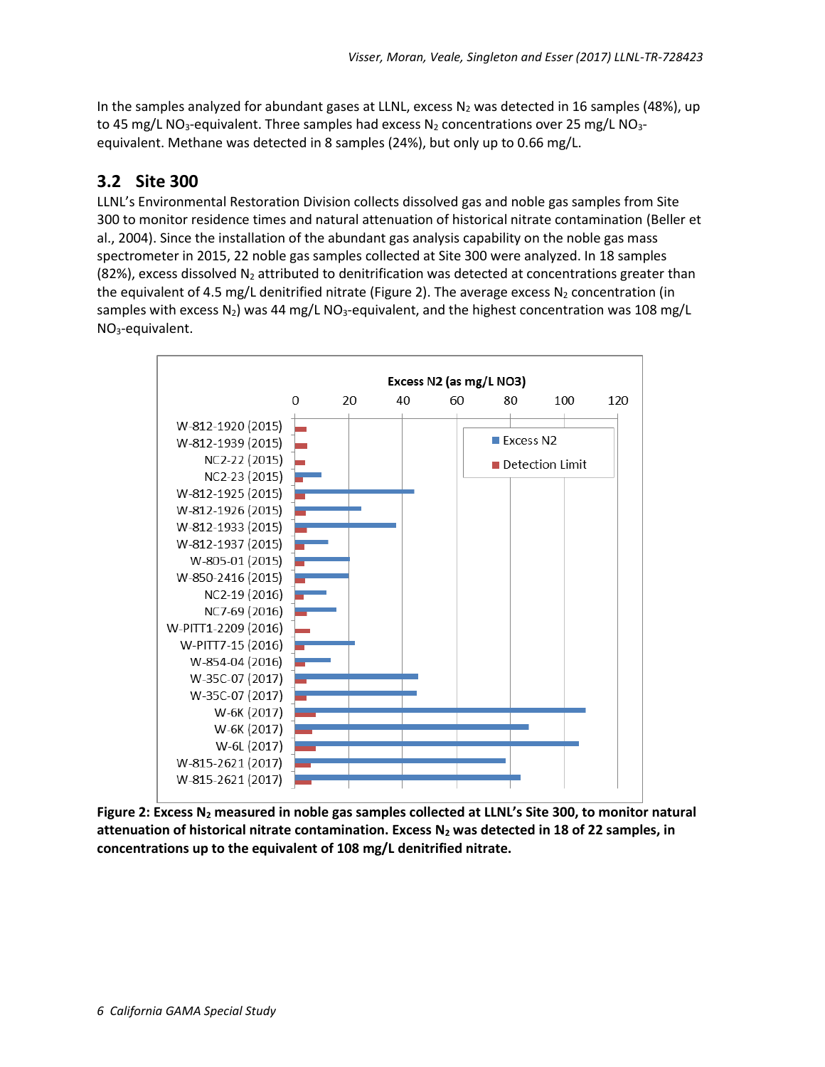In the samples analyzed for abundant gases at LLNL, excess  $N_2$  was detected in 16 samples (48%), up to 45 mg/L NO<sub>3</sub>-equivalent. Three samples had excess N<sub>2</sub> concentrations over 25 mg/L NO<sub>3</sub>equivalent. Methane was detected in 8 samples (24%), but only up to 0.66 mg/L.

#### <span id="page-7-0"></span>**3.2 Site 300**

LLNL's Environmental Restoration Division collects dissolved gas and noble gas samples from Site 300 to monitor residence times and natural attenuation of historical nitrate contamination [\(Beller et](#page-13-2)  [al., 2004\)](#page-13-2). Since the installation of the abundant gas analysis capability on the noble gas mass spectrometer in 2015, 22 noble gas samples collected at Site 300 were analyzed. In 18 samples (82%), excess dissolved  $N_2$  attributed to denitrification was detected at concentrations greater than the equivalent of 4.5 mg/L denitrified nitrate (Figure 2). The average excess  $N_2$  concentration (in samples with excess  $N_2$ ) was 44 mg/L NO<sub>3</sub>-equivalent, and the highest concentration was 108 mg/L NO3-equivalent.



**Figure 2: Excess N<sup>2</sup> measured in noble gas samples collected at LLNL's Site 300, to monitor natural attenuation of historical nitrate contamination. Excess N<sup>2</sup> was detected in 18 of 22 samples, in concentrations up to the equivalent of 108 mg/L denitrified nitrate.**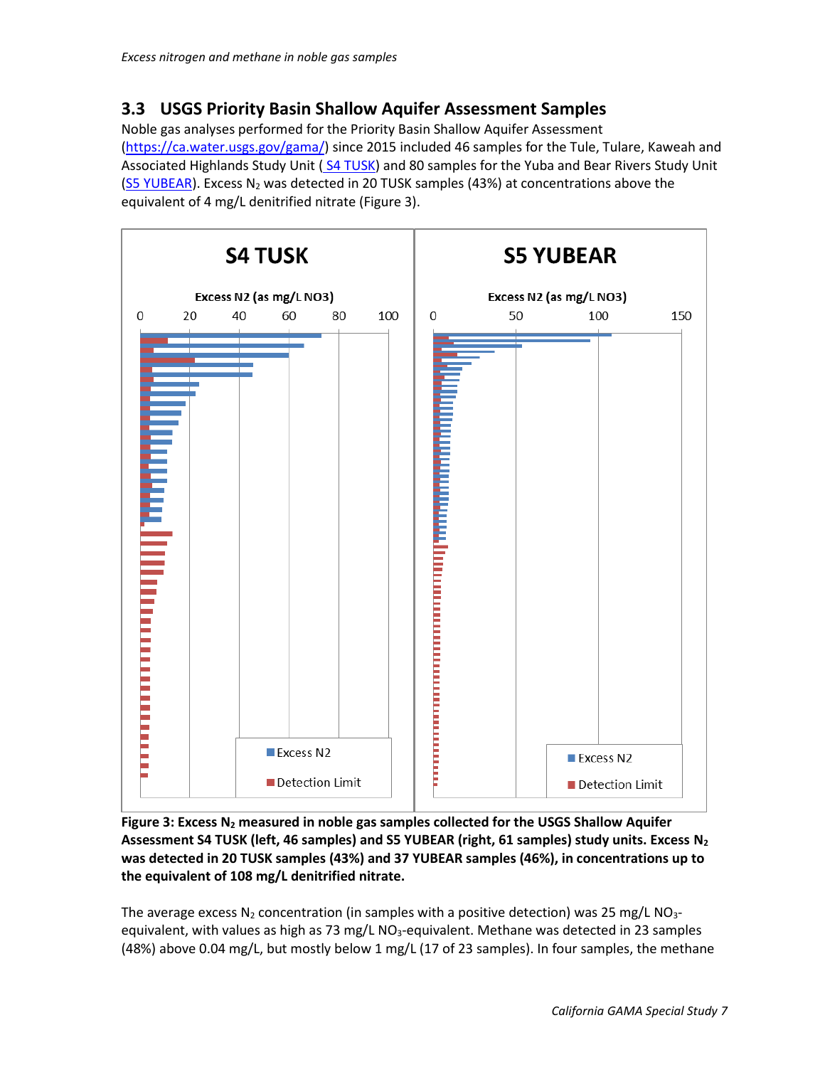#### <span id="page-8-0"></span>**3.3 USGS Priority Basin Shallow Aquifer Assessment Samples**

Noble gas analyses performed for the Priority Basin Shallow Aquifer Assessment [\(https://ca.water.usgs.gov/gama/\)](https://ca.water.usgs.gov/gama/) since 2015 included 46 samples for the Tule, Tulare, Kaweah and Associated Highlands Study Unit ( [S4 TUSK\)](https://ca.water.usgs.gov/projects/gama/SU_shallow/kitkat.htm) and 80 samples for the Yuba and Bear Rivers Study Unit [\(S5 YUBEAR\)](https://ca.water.usgs.gov/projects/gama/SU_shallow/yubear.htm). Excess  $N_2$  was detected in 20 TUSK samples (43%) at concentrations above the equivalent of 4 mg/L denitrified nitrate (Figure 3).



**Figure 3: Excess N<sup>2</sup> measured in noble gas samples collected for the USGS Shallow Aquifer Assessment S4 TUSK (left, 46 samples) and S5 YUBEAR (right, 61 samples) study units. Excess N<sup>2</sup> was detected in 20 TUSK samples (43%) and 37 YUBEAR samples (46%), in concentrations up to the equivalent of 108 mg/L denitrified nitrate.**

The average excess  $N_2$  concentration (in samples with a positive detection) was 25 mg/L NO<sub>3</sub>equivalent, with values as high as 73 mg/L  $NO<sub>3</sub>$ -equivalent. Methane was detected in 23 samples (48%) above 0.04 mg/L, but mostly below 1 mg/L (17 of 23 samples). In four samples, the methane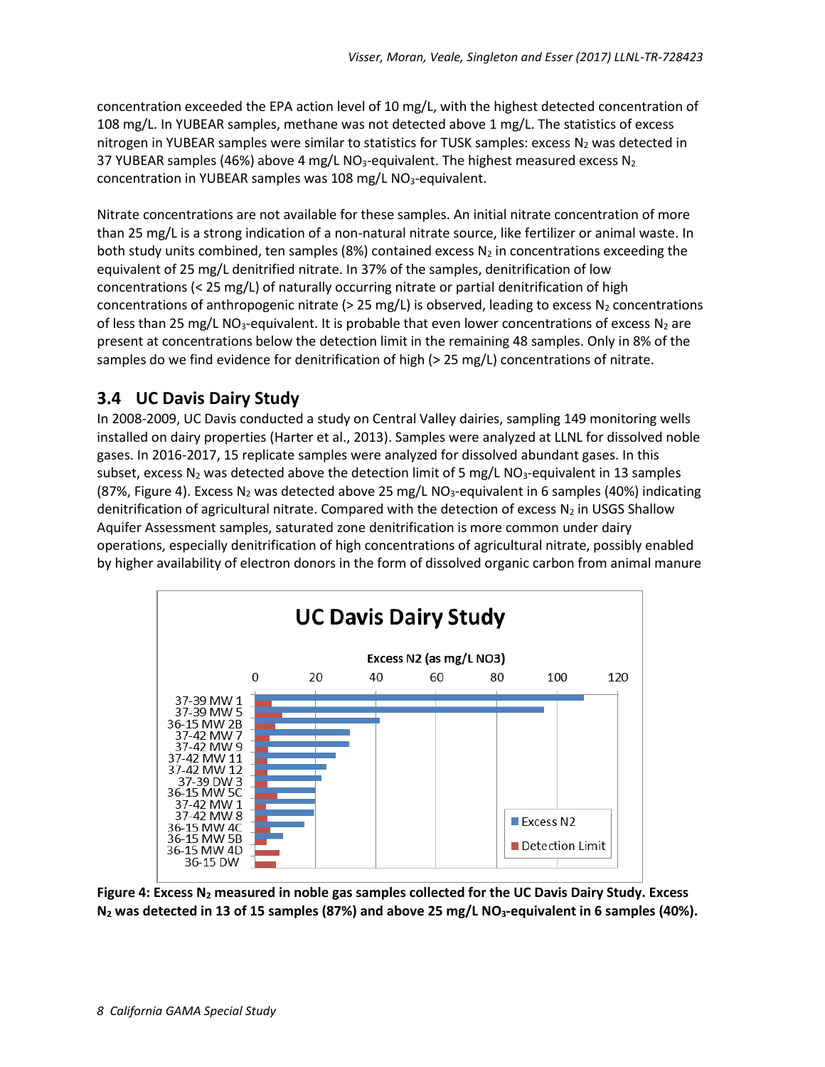concentration exceeded the EPA action level of 10 mg/L, with the highest detected concentration of 108 mg/L. In YUBEAR samples, methane was not detected above 1 mg/L. The statistics of excess nitrogen in YUBEAR samples were similar to statistics for TUSK samples: excess  $N_2$  was detected in 37 YUBEAR samples (46%) above 4 mg/L NO<sub>3</sub>-equivalent. The highest measured excess N<sub>2</sub> concentration in YUBEAR samples was 108 mg/L NO<sub>3</sub>-equivalent.

Nitrate concentrations are not available for these samples. An initial nitrate concentration of more than 25 mg/L is a strong indication of a non-natural nitrate source, like fertilizer or animal waste. In both study units combined, ten samples (8%) contained excess  $N_2$  in concentrations exceeding the equivalent of 25 mg/L denitrified nitrate. In 37% of the samples, denitrification of low concentrations (< 25 mg/L) of naturally occurring nitrate or partial denitrification of high concentrations of anthropogenic nitrate ( $> 25$  mg/L) is observed, leading to excess  $N_2$  concentrations of less than 25 mg/L NO<sub>3</sub>-equivalent. It is probable that even lower concentrations of excess N<sub>2</sub> are present at concentrations below the detection limit in the remaining 48 samples. Only in 8% of the samples do we find evidence for denitrification of high (> 25 mg/L) concentrations of nitrate.

#### <span id="page-9-0"></span>**3.4 UC Davis Dairy Study**

In 2008-2009, UC Davis conducted a study on Central Valley dairies, sampling 149 monitoring wells installed on dairy properties [\(Harter et al., 2013\)](#page-13-3). Samples were analyzed at LLNL for dissolved noble gases. In 2016-2017, 15 replicate samples were analyzed for dissolved abundant gases. In this subset, excess  $N_2$  was detected above the detection limit of 5 mg/L NO<sub>3</sub>-equivalent in 13 samples (87%, Figure 4). Excess N<sub>2</sub> was detected above 25 mg/L NO<sub>3</sub>-equivalent in 6 samples (40%) indicating denitrification of agricultural nitrate. Compared with the detection of excess  $N_2$  in USGS Shallow Aquifer Assessment samples, saturated zone denitrification is more common under dairy operations, especially denitrification of high concentrations of agricultural nitrate, possibly enabled by higher availability of electron donors in the form of dissolved organic carbon from animal manure



**Figure 4: Excess N<sup>2</sup> measured in noble gas samples collected for the UC Davis Dairy Study. Excess N<sup>2</sup> was detected in 13 of 15 samples (87%) and above 25 mg/L NO3-equivalent in 6 samples (40%).**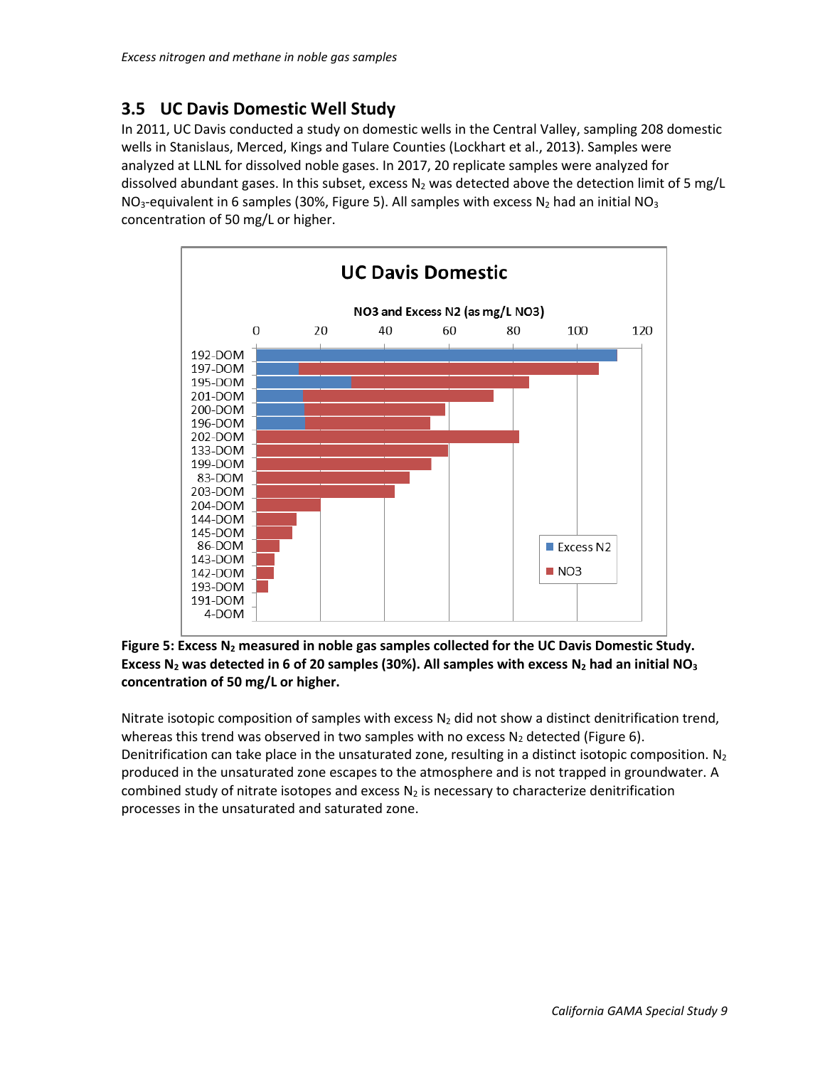#### <span id="page-10-0"></span>**3.5 UC Davis Domestic Well Study**

In 2011, UC Davis conducted a study on domestic wells in the Central Valley, sampling 208 domestic wells in Stanislaus, Merced, Kings and Tulare Counties [\(Lockhart et al., 2013\)](#page-13-4). Samples were analyzed at LLNL for dissolved noble gases. In 2017, 20 replicate samples were analyzed for dissolved abundant gases. In this subset, excess  $N_2$  was detected above the detection limit of 5 mg/L NO<sub>3</sub>-equivalent in 6 samples (30%, Figure 5). All samples with excess N<sub>2</sub> had an initial NO<sub>3</sub> concentration of 50 mg/L or higher.



**Figure 5: Excess N<sup>2</sup> measured in noble gas samples collected for the UC Davis Domestic Study. Excess N<sup>2</sup> was detected in 6 of 20 samples (30%). All samples with excess N<sup>2</sup> had an initial NO<sup>3</sup> concentration of 50 mg/L or higher.** 

Nitrate isotopic composition of samples with excess  $N_2$  did not show a distinct denitrification trend, whereas this trend was observed in two samples with no excess  $N_2$  detected (Figure 6). Denitrification can take place in the unsaturated zone, resulting in a distinct isotopic composition.  $N_2$ produced in the unsaturated zone escapes to the atmosphere and is not trapped in groundwater. A combined study of nitrate isotopes and excess  $N_2$  is necessary to characterize denitrification processes in the unsaturated and saturated zone.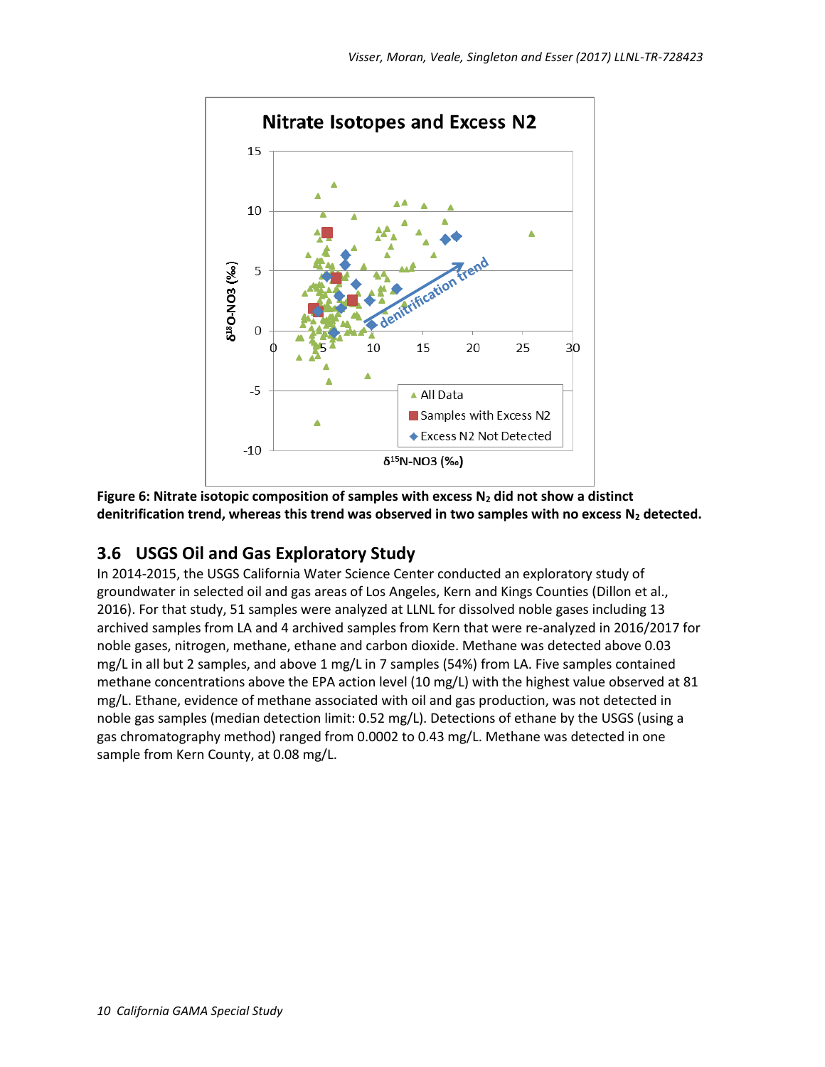

**Figure 6: Nitrate isotopic composition of samples with excess N<sup>2</sup> did not show a distinct denitrification trend, whereas this trend was observed in two samples with no excess N<sup>2</sup> detected.** 

#### <span id="page-11-0"></span>**3.6 USGS Oil and Gas Exploratory Study**

In 2014-2015, the USGS California Water Science Center conducted an exploratory study of groundwater in selected oil and gas areas of Los Angeles, Kern and Kings Counties [\(Dillon et al.,](#page-13-5)  [2016\)](#page-13-5). For that study, 51 samples were analyzed at LLNL for dissolved noble gases including 13 archived samples from LA and 4 archived samples from Kern that were re-analyzed in 2016/2017 for noble gases, nitrogen, methane, ethane and carbon dioxide. Methane was detected above 0.03 mg/L in all but 2 samples, and above 1 mg/L in 7 samples (54%) from LA. Five samples contained methane concentrations above the EPA action level (10 mg/L) with the highest value observed at 81 mg/L. Ethane, evidence of methane associated with oil and gas production, was not detected in noble gas samples (median detection limit: 0.52 mg/L). Detections of ethane by the USGS (using a gas chromatography method) ranged from 0.0002 to 0.43 mg/L. Methane was detected in one sample from Kern County, at 0.08 mg/L.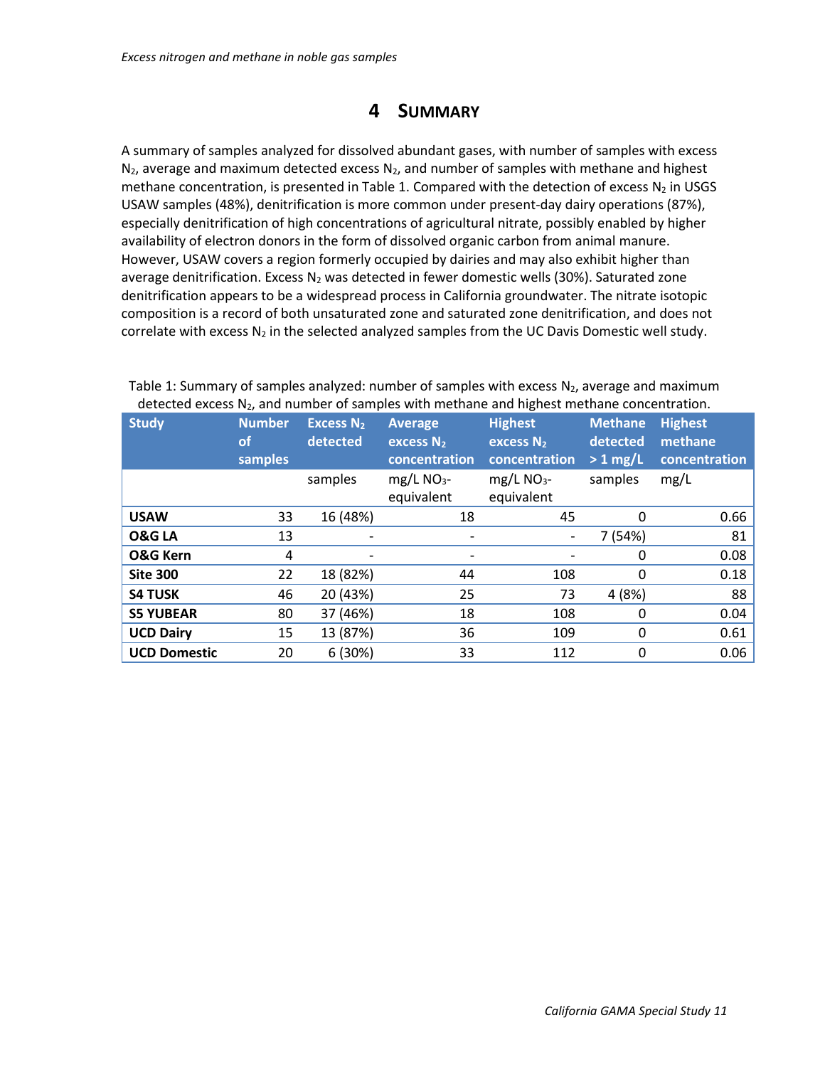## **4 SUMMARY**

<span id="page-12-0"></span>A summary of samples analyzed for dissolved abundant gases, with number of samples with excess  $N_2$ , average and maximum detected excess  $N_2$ , and number of samples with methane and highest methane concentration, is presented in Table 1. Compared with the detection of excess  $N_2$  in USGS USAW samples (48%), denitrification is more common under present-day dairy operations (87%), especially denitrification of high concentrations of agricultural nitrate, possibly enabled by higher availability of electron donors in the form of dissolved organic carbon from animal manure. However, USAW covers a region formerly occupied by dairies and may also exhibit higher than average denitrification. Excess  $N_2$  was detected in fewer domestic wells (30%). Saturated zone denitrification appears to be a widespread process in California groundwater. The nitrate isotopic composition is a record of both unsaturated zone and saturated zone denitrification, and does not correlate with excess  $N_2$  in the selected analyzed samples from the UC Davis Domestic well study.

| <b>Study</b>        | <b>Number</b><br>οf<br>samples | <b>Excess N<sub>2</sub></b><br>detected | <b>Average</b><br>excess $N_2$<br>concentration | <b>Highest</b><br>excess $N_2$<br>concentration | <b>Methane</b><br>detected<br>$> 1$ mg/L | <b>Highest</b><br>methane<br>concentration |
|---------------------|--------------------------------|-----------------------------------------|-------------------------------------------------|-------------------------------------------------|------------------------------------------|--------------------------------------------|
|                     |                                | samples                                 | $mg/L$ NO <sub>3</sub> -<br>equivalent          | $mg/L$ NO <sub>3</sub> -<br>equivalent          | samples                                  | mg/L                                       |
| <b>USAW</b>         | 33                             | 16 (48%)                                | 18                                              | 45                                              | 0                                        | 0.66                                       |
| <b>O&amp;GLA</b>    | 13                             |                                         | $\overline{a}$                                  | $\overline{\phantom{a}}$                        | 7 (54%)                                  | 81                                         |
| <b>O&amp;G Kern</b> | 4                              |                                         | -                                               |                                                 | 0                                        | 0.08                                       |
| <b>Site 300</b>     | 22                             | 18 (82%)                                | 44                                              | 108                                             | 0                                        | 0.18                                       |
| <b>S4 TUSK</b>      | 46                             | 20 (43%)                                | 25                                              | 73                                              | 4 (8%)                                   | 88                                         |
| <b>S5 YUBEAR</b>    | 80                             | 37 (46%)                                | 18                                              | 108                                             | 0                                        | 0.04                                       |
| <b>UCD Dairy</b>    | 15                             | 13 (87%)                                | 36                                              | 109                                             | 0                                        | 0.61                                       |
| <b>UCD Domestic</b> | 20                             | 6(30%)                                  | 33                                              | 112                                             | $\mathbf{0}$                             | 0.06                                       |

Table 1: Summary of samples analyzed: number of samples with excess  $N_2$ , average and maximum detected excess  $N_2$ , and number of samples with methane and highest methane concentration.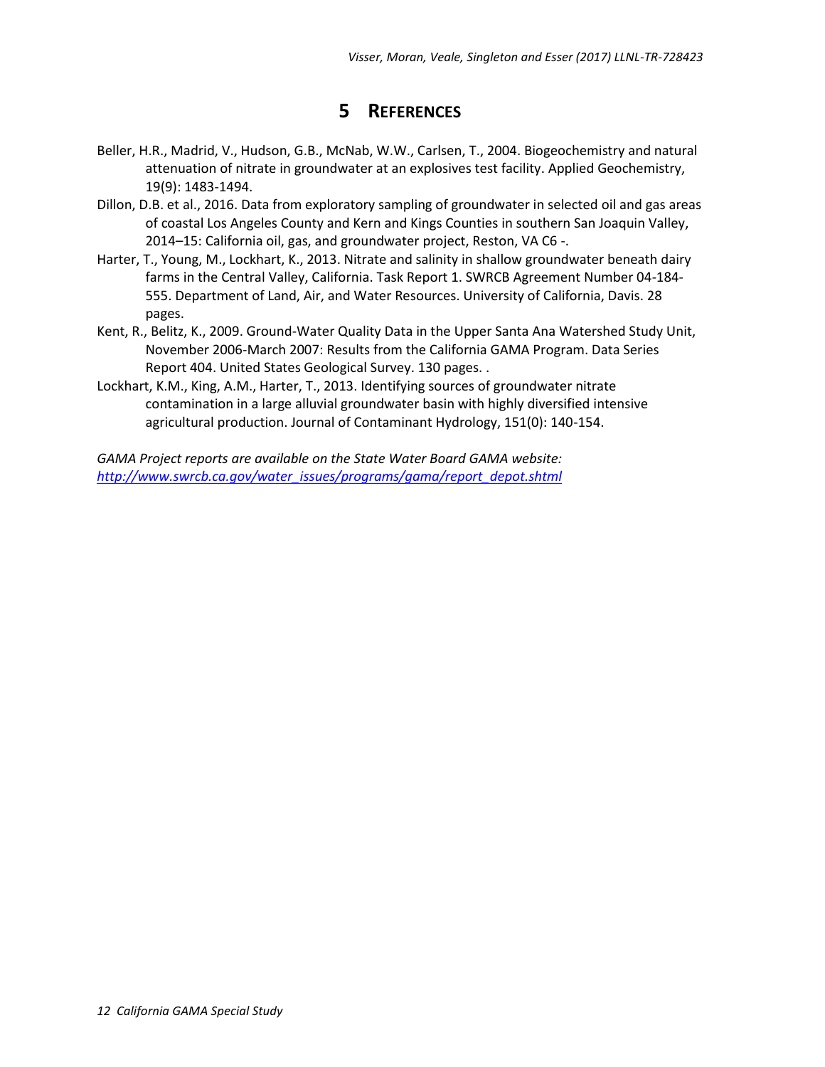## **5 REFERENCES**

- <span id="page-13-2"></span><span id="page-13-0"></span>Beller, H.R., Madrid, V., Hudson, G.B., McNab, W.W., Carlsen, T., 2004. Biogeochemistry and natural attenuation of nitrate in groundwater at an explosives test facility. Applied Geochemistry, 19(9): 1483-1494.
- <span id="page-13-5"></span>Dillon, D.B. et al., 2016. Data from exploratory sampling of groundwater in selected oil and gas areas of coastal Los Angeles County and Kern and Kings Counties in southern San Joaquin Valley, 2014–15: California oil, gas, and groundwater project, Reston, VA C6 -.
- <span id="page-13-3"></span>Harter, T., Young, M., Lockhart, K., 2013. Nitrate and salinity in shallow groundwater beneath dairy farms in the Central Valley, California. Task Report 1. SWRCB Agreement Number 04-184- 555. Department of Land, Air, and Water Resources. University of California, Davis. 28 pages.
- <span id="page-13-1"></span>Kent, R., Belitz, K., 2009. Ground-Water Quality Data in the Upper Santa Ana Watershed Study Unit, November 2006-March 2007: Results from the California GAMA Program. Data Series Report 404. United States Geological Survey. 130 pages. .
- <span id="page-13-4"></span>Lockhart, K.M., King, A.M., Harter, T., 2013. Identifying sources of groundwater nitrate contamination in a large alluvial groundwater basin with highly diversified intensive agricultural production. Journal of Contaminant Hydrology, 151(0): 140-154.

*GAMA Project reports are available on the State Water Board GAMA website: [http://www.swrcb.ca.gov/water\\_issues/programs/gama/report\\_depot.shtml](http://www.swrcb.ca.gov/water_issues/programs/gama/report_depot.shtml)*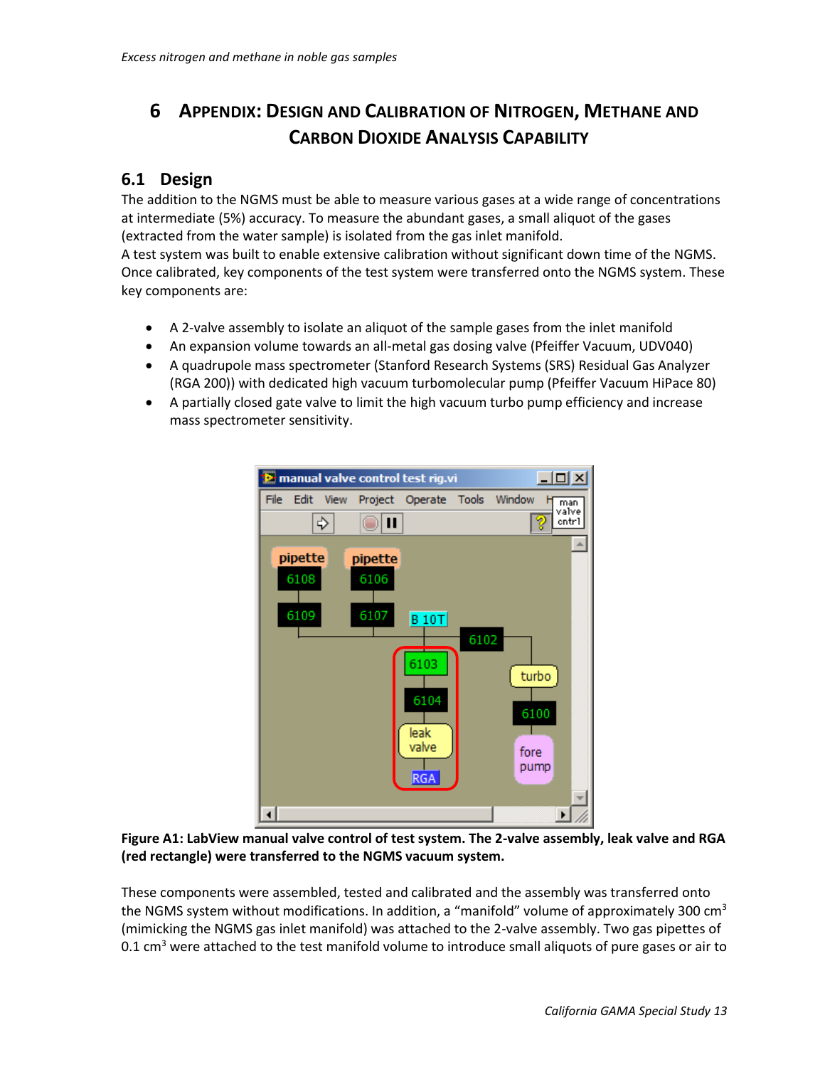# <span id="page-14-0"></span>**6 APPENDIX: DESIGN AND CALIBRATION OF NITROGEN, METHANE AND CARBON DIOXIDE ANALYSIS CAPABILITY**

#### <span id="page-14-1"></span>**6.1 Design**

The addition to the NGMS must be able to measure various gases at a wide range of concentrations at intermediate (5%) accuracy. To measure the abundant gases, a small aliquot of the gases (extracted from the water sample) is isolated from the gas inlet manifold.

A test system was built to enable extensive calibration without significant down time of the NGMS. Once calibrated, key components of the test system were transferred onto the NGMS system. These key components are:

- A 2-valve assembly to isolate an aliquot of the sample gases from the inlet manifold
- An expansion volume towards an all-metal gas dosing valve (Pfeiffer Vacuum, UDV040)
- A quadrupole mass spectrometer (Stanford Research Systems (SRS) Residual Gas Analyzer (RGA 200)) with dedicated high vacuum turbomolecular pump (Pfeiffer Vacuum HiPace 80)
- A partially closed gate valve to limit the high vacuum turbo pump efficiency and increase mass spectrometer sensitivity.



**Figure A1: LabView manual valve control of test system. The 2-valve assembly, leak valve and RGA (red rectangle) were transferred to the NGMS vacuum system.**

These components were assembled, tested and calibrated and the assembly was transferred onto the NGMS system without modifications. In addition, a "manifold" volume of approximately 300  $\text{cm}^3$ (mimicking the NGMS gas inlet manifold) was attached to the 2-valve assembly. Two gas pipettes of 0.1 cm<sup>3</sup> were attached to the test manifold volume to introduce small aliquots of pure gases or air to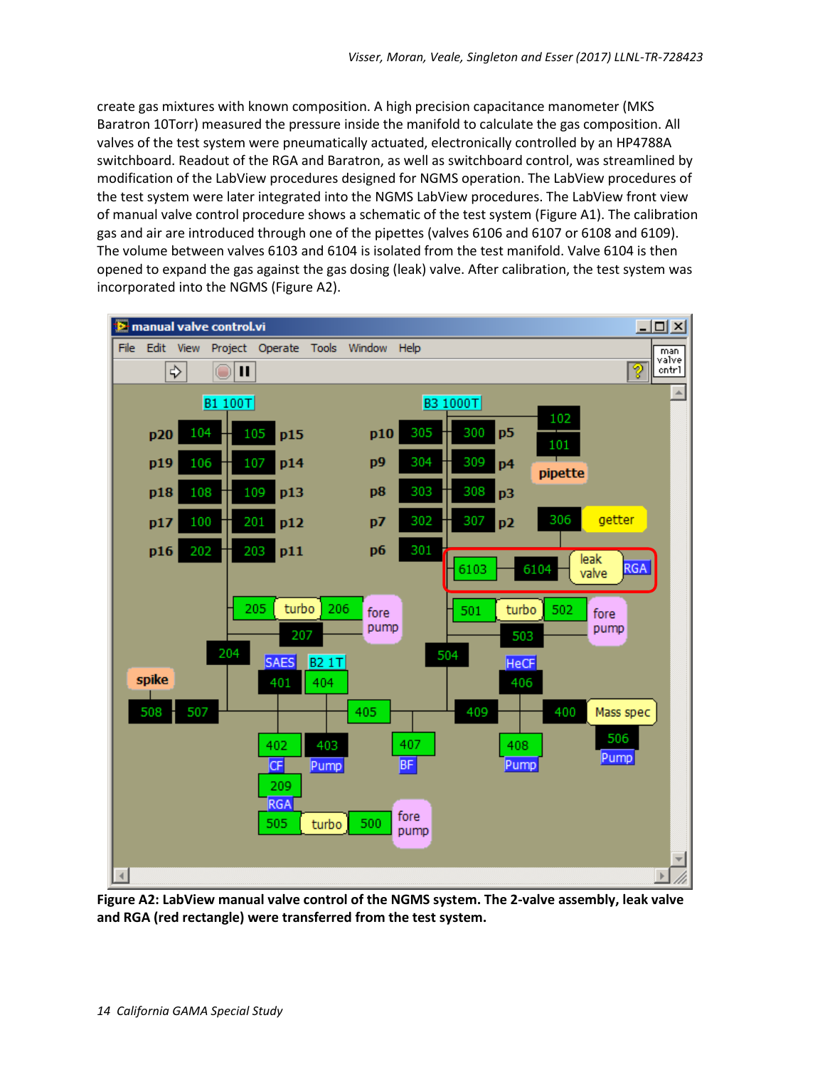create gas mixtures with known composition. A high precision capacitance manometer (MKS Baratron 10Torr) measured the pressure inside the manifold to calculate the gas composition. All valves of the test system were pneumatically actuated, electronically controlled by an HP4788A switchboard. Readout of the RGA and Baratron, as well as switchboard control, was streamlined by modification of the LabView procedures designed for NGMS operation. The LabView procedures of the test system were later integrated into the NGMS LabView procedures. The LabView front view of manual valve control procedure shows a schematic of the test system (Figure A1). The calibration gas and air are introduced through one of the pipettes (valves 6106 and 6107 or 6108 and 6109). The volume between valves 6103 and 6104 is isolated from the test manifold. Valve 6104 is then opened to expand the gas against the gas dosing (leak) valve. After calibration, the test system was incorporated into the NGMS (Figure A2).



**Figure A2: LabView manual valve control of the NGMS system. The 2-valve assembly, leak valve and RGA (red rectangle) were transferred from the test system.**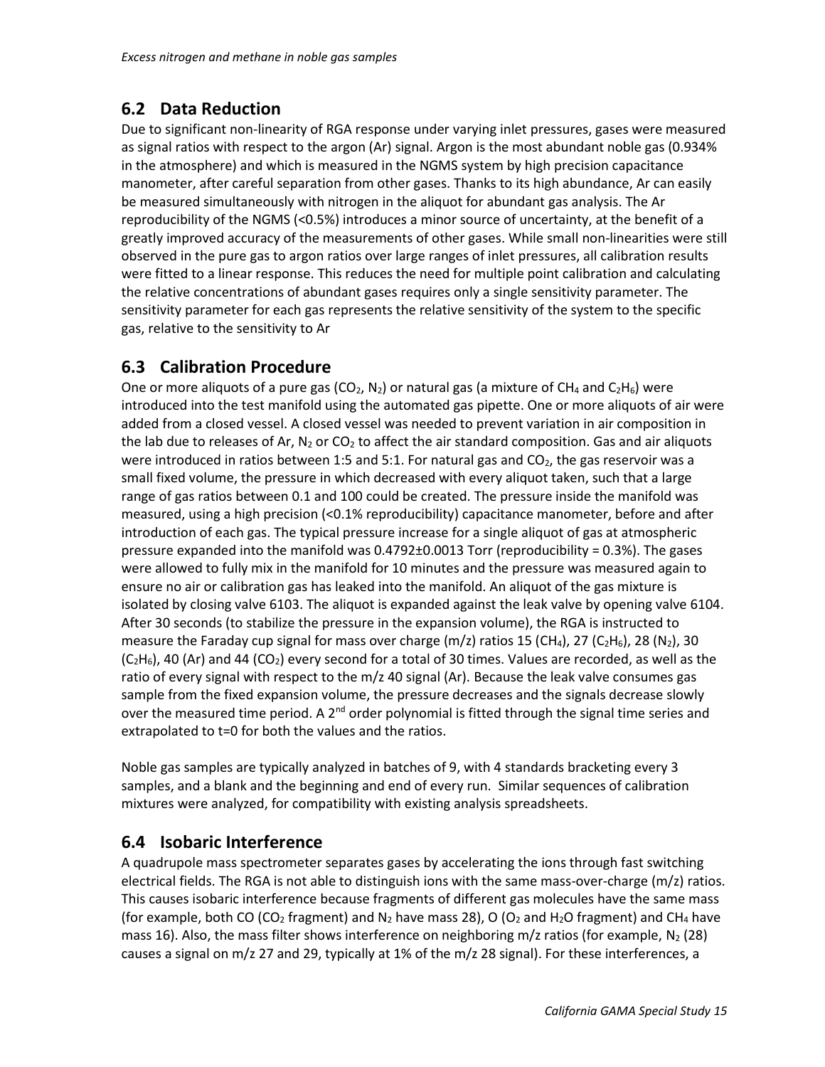#### <span id="page-16-0"></span>**6.2 Data Reduction**

Due to significant non-linearity of RGA response under varying inlet pressures, gases were measured as signal ratios with respect to the argon (Ar) signal. Argon is the most abundant noble gas (0.934% in the atmosphere) and which is measured in the NGMS system by high precision capacitance manometer, after careful separation from other gases. Thanks to its high abundance, Ar can easily be measured simultaneously with nitrogen in the aliquot for abundant gas analysis. The Ar reproducibility of the NGMS (<0.5%) introduces a minor source of uncertainty, at the benefit of a greatly improved accuracy of the measurements of other gases. While small non-linearities were still observed in the pure gas to argon ratios over large ranges of inlet pressures, all calibration results were fitted to a linear response. This reduces the need for multiple point calibration and calculating the relative concentrations of abundant gases requires only a single sensitivity parameter. The sensitivity parameter for each gas represents the relative sensitivity of the system to the specific gas, relative to the sensitivity to Ar

#### <span id="page-16-1"></span>**6.3 Calibration Procedure**

One or more aliquots of a pure gas (CO<sub>2</sub>, N<sub>2</sub>) or natural gas (a mixture of CH<sub>4</sub> and C<sub>2</sub>H<sub>6</sub>) were introduced into the test manifold using the automated gas pipette. One or more aliquots of air were added from a closed vessel. A closed vessel was needed to prevent variation in air composition in the lab due to releases of Ar,  $N_2$  or CO<sub>2</sub> to affect the air standard composition. Gas and air aliquots were introduced in ratios between 1:5 and 5:1. For natural gas and  $CO<sub>2</sub>$ , the gas reservoir was a small fixed volume, the pressure in which decreased with every aliquot taken, such that a large range of gas ratios between 0.1 and 100 could be created. The pressure inside the manifold was measured, using a high precision (<0.1% reproducibility) capacitance manometer, before and after introduction of each gas. The typical pressure increase for a single aliquot of gas at atmospheric pressure expanded into the manifold was  $0.4792\pm0.0013$  Torr (reproducibility = 0.3%). The gases were allowed to fully mix in the manifold for 10 minutes and the pressure was measured again to ensure no air or calibration gas has leaked into the manifold. An aliquot of the gas mixture is isolated by closing valve 6103. The aliquot is expanded against the leak valve by opening valve 6104. After 30 seconds (to stabilize the pressure in the expansion volume), the RGA is instructed to measure the Faraday cup signal for mass over charge (m/z) ratios 15 (CH<sub>4</sub>), 27 (C<sub>2</sub>H<sub>6</sub>), 28 (N<sub>2</sub>), 30  $(C<sub>2</sub>H<sub>6</sub>)$ , 40 (Ar) and 44 (CO<sub>2</sub>) every second for a total of 30 times. Values are recorded, as well as the ratio of every signal with respect to the m/z 40 signal (Ar). Because the leak valve consumes gas sample from the fixed expansion volume, the pressure decreases and the signals decrease slowly over the measured time period. A  $2^{nd}$  order polynomial is fitted through the signal time series and extrapolated to t=0 for both the values and the ratios.

Noble gas samples are typically analyzed in batches of 9, with 4 standards bracketing every 3 samples, and a blank and the beginning and end of every run. Similar sequences of calibration mixtures were analyzed, for compatibility with existing analysis spreadsheets.

#### <span id="page-16-2"></span>**6.4 Isobaric Interference**

A quadrupole mass spectrometer separates gases by accelerating the ions through fast switching electrical fields. The RGA is not able to distinguish ions with the same mass-over-charge (m/z) ratios. This causes isobaric interference because fragments of different gas molecules have the same mass (for example, both CO (CO<sub>2</sub> fragment) and N<sub>2</sub> have mass 28), O (O<sub>2</sub> and H<sub>2</sub>O fragment) and CH<sub>4</sub> have mass 16). Also, the mass filter shows interference on neighboring m/z ratios (for example,  $N_2$  (28) causes a signal on m/z 27 and 29, typically at 1% of the m/z 28 signal). For these interferences, a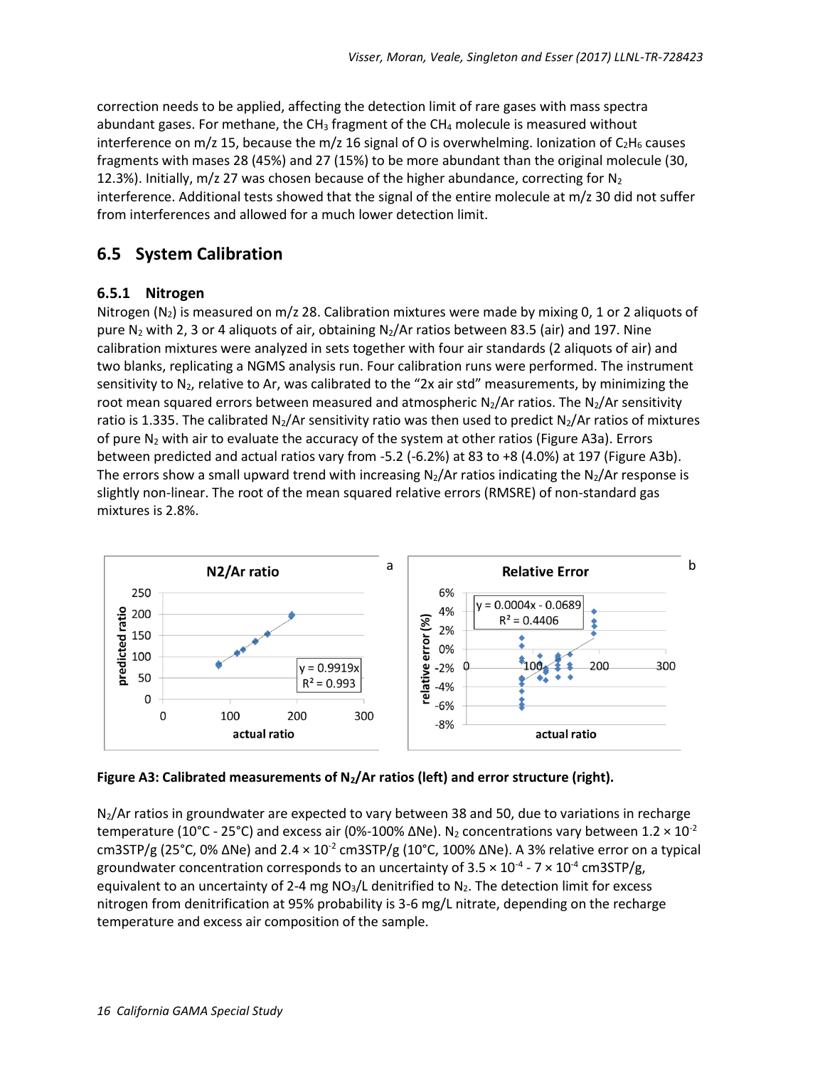correction needs to be applied, affecting the detection limit of rare gases with mass spectra abundant gases. For methane, the CH<sub>3</sub> fragment of the CH<sub>4</sub> molecule is measured without interference on m/z 15, because the m/z 16 signal of O is overwhelming. Ionization of  $C_2H_6$  causes fragments with mases 28 (45%) and 27 (15%) to be more abundant than the original molecule (30, 12.3%). Initially, m/z 27 was chosen because of the higher abundance, correcting for  $N_2$ interference. Additional tests showed that the signal of the entire molecule at m/z 30 did not suffer from interferences and allowed for a much lower detection limit.

### <span id="page-17-0"></span>**6.5 System Calibration**

#### <span id="page-17-1"></span>**6.5.1 Nitrogen**

Nitrogen ( $N_2$ ) is measured on m/z 28. Calibration mixtures were made by mixing 0, 1 or 2 aliquots of pure N<sub>2</sub> with 2, 3 or 4 aliquots of air, obtaining N<sub>2</sub>/Ar ratios between 83.5 (air) and 197. Nine calibration mixtures were analyzed in sets together with four air standards (2 aliquots of air) and two blanks, replicating a NGMS analysis run. Four calibration runs were performed. The instrument sensitivity to  $N_2$ , relative to Ar, was calibrated to the "2x air std" measurements, by minimizing the root mean squared errors between measured and atmospheric N<sub>2</sub>/Ar ratios. The N<sub>2</sub>/Ar sensitivity ratio is 1.335. The calibrated N<sub>2</sub>/Ar sensitivity ratio was then used to predict N<sub>2</sub>/Ar ratios of mixtures of pure  $N_2$  with air to evaluate the accuracy of the system at other ratios (Figure A3a). Errors between predicted and actual ratios vary from -5.2 (-6.2%) at 83 to +8 (4.0%) at 197 (Figure A3b). The errors show a small upward trend with increasing  $N_2/Ar$  ratios indicating the  $N_2/Ar$  response is slightly non-linear. The root of the mean squared relative errors (RMSRE) of non-standard gas mixtures is 2.8%.



**Figure A3: Calibrated measurements of N2/Ar ratios (left) and error structure (right).**

N2/Ar ratios in groundwater are expected to vary between 38 and 50, due to variations in recharge temperature (10°C - 25°C) and excess air (0%-100% ΔNe). N<sub>2</sub> concentrations vary between 1.2 × 10<sup>-2</sup> cm3STP/g (25°C, 0%  $\Delta$ Ne) and 2.4  $\times$  10<sup>-2</sup> cm3STP/g (10°C, 100%  $\Delta$ Ne). A 3% relative error on a typical groundwater concentration corresponds to an uncertainty of 3.5  $\times$  10<sup>-4</sup> - 7  $\times$  10<sup>-4</sup> cm3STP/g, equivalent to an uncertainty of 2-4 mg  $NO<sub>3</sub>/L$  denitrified to  $N<sub>2</sub>$ . The detection limit for excess nitrogen from denitrification at 95% probability is 3-6 mg/L nitrate, depending on the recharge temperature and excess air composition of the sample.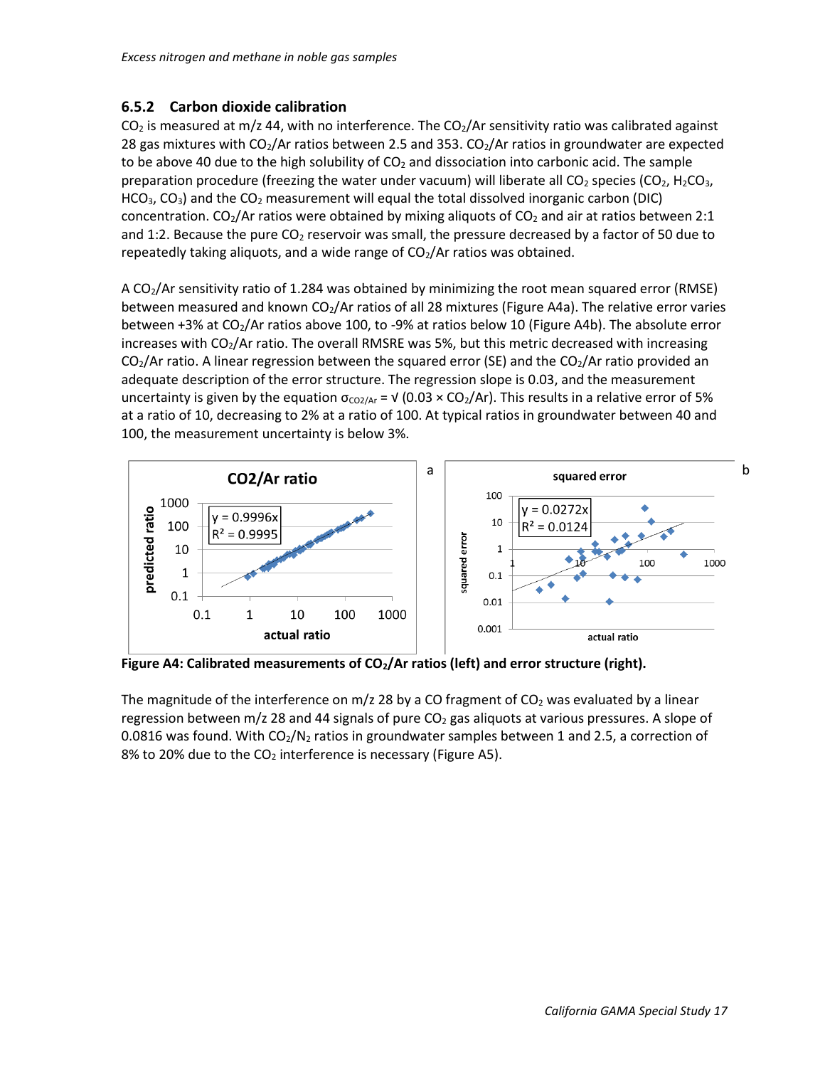#### <span id="page-18-0"></span>**6.5.2 Carbon dioxide calibration**

 $CO<sub>2</sub>$  is measured at m/z 44, with no interference. The  $CO<sub>2</sub>/Ar$  sensitivity ratio was calibrated against 28 gas mixtures with  $CO<sub>2</sub>/Ar$  ratios between 2.5 and 353.  $CO<sub>2</sub>/Ar$  ratios in groundwater are expected to be above 40 due to the high solubility of  $CO<sub>2</sub>$  and dissociation into carbonic acid. The sample preparation procedure (freezing the water under vacuum) will liberate all  $CO<sub>2</sub>$  species ( $CO<sub>2</sub>$ , H<sub>2</sub>CO<sub>3</sub>, HCO<sub>3</sub>, CO<sub>3</sub>) and the CO<sub>2</sub> measurement will equal the total dissolved inorganic carbon (DIC) concentration. CO<sub>2</sub>/Ar ratios were obtained by mixing aliquots of CO<sub>2</sub> and air at ratios between 2:1 and 1:2. Because the pure  $CO<sub>2</sub>$  reservoir was small, the pressure decreased by a factor of 50 due to repeatedly taking aliquots, and a wide range of  $CO<sub>2</sub>/Ar$  ratios was obtained.

A CO2/Ar sensitivity ratio of 1.284 was obtained by minimizing the root mean squared error (RMSE) between measured and known CO<sub>2</sub>/Ar ratios of all 28 mixtures (Figure A4a). The relative error varies between +3% at CO<sub>2</sub>/Ar ratios above 100, to -9% at ratios below 10 (Figure A4b). The absolute error increases with  $CO<sub>2</sub>/Ar$  ratio. The overall RMSRE was 5%, but this metric decreased with increasing  $CO<sub>2</sub>/Ar$  ratio. A linear regression between the squared error (SE) and the  $CO<sub>2</sub>/Ar$  ratio provided an adequate description of the error structure. The regression slope is 0.03, and the measurement uncertainty is given by the equation  $\sigma_{CO2/Ar}$  =  $\sqrt{(0.03 \times CO_2/Ar)}$ . This results in a relative error of 5% at a ratio of 10, decreasing to 2% at a ratio of 100. At typical ratios in groundwater between 40 and 100, the measurement uncertainty is below 3%.



**Figure A4: Calibrated measurements of CO2/Ar ratios (left) and error structure (right).**

The magnitude of the interference on  $m/z$  28 by a CO fragment of CO<sub>2</sub> was evaluated by a linear regression between m/z 28 and 44 signals of pure  $CO<sub>2</sub>$  gas aliquots at various pressures. A slope of 0.0816 was found. With  $CO_2/N_2$  ratios in groundwater samples between 1 and 2.5, a correction of 8% to 20% due to the CO<sub>2</sub> interference is necessary (Figure A5).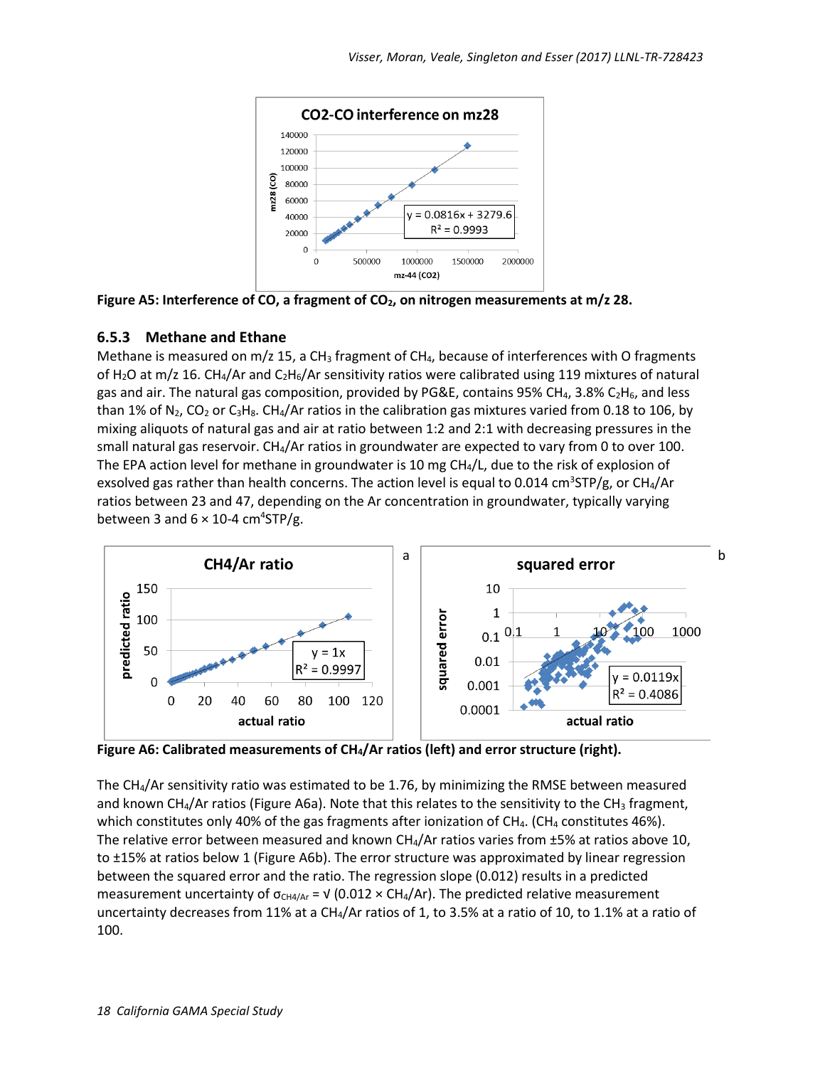

**Figure A5: Interference of CO, a fragment of CO2, on nitrogen measurements at m/z 28.**

#### <span id="page-19-0"></span>**6.5.3 Methane and Ethane**

Methane is measured on  $m/z$  15, a CH<sub>3</sub> fragment of CH<sub>4</sub>, because of interferences with O fragments of H<sub>2</sub>O at m/z 16. CH<sub>4</sub>/Ar and C<sub>2</sub>H<sub>6</sub>/Ar sensitivity ratios were calibrated using 119 mixtures of natural gas and air. The natural gas composition, provided by PG&E, contains 95% CH<sub>4</sub>, 3.8% C<sub>2</sub>H<sub>6</sub>, and less than 1% of N<sub>2</sub>, CO<sub>2</sub> or C<sub>3</sub>H<sub>8</sub>. CH<sub>4</sub>/Ar ratios in the calibration gas mixtures varied from 0.18 to 106, by mixing aliquots of natural gas and air at ratio between 1:2 and 2:1 with decreasing pressures in the small natural gas reservoir. CH<sub>4</sub>/Ar ratios in groundwater are expected to vary from 0 to over 100. The EPA action level for methane in groundwater is 10 mg CH<sub>4</sub>/L, due to the risk of explosion of exsolved gas rather than health concerns. The action level is equal to 0.014 cm<sup>3</sup>STP/g, or CH<sub>4</sub>/Ar ratios between 23 and 47, depending on the Ar concentration in groundwater, typically varying between 3 and  $6 \times 10$ -4 cm<sup>4</sup>STP/g.



**Figure A6: Calibrated measurements of CH4/Ar ratios (left) and error structure (right).**

The CH4/Ar sensitivity ratio was estimated to be 1.76, by minimizing the RMSE between measured and known CH<sub>4</sub>/Ar ratios (Figure A6a). Note that this relates to the sensitivity to the CH<sub>3</sub> fragment, which constitutes only 40% of the gas fragments after ionization of CH<sub>4</sub>. (CH<sub>4</sub> constitutes 46%). The relative error between measured and known CH<sub>4</sub>/Ar ratios varies from ±5% at ratios above 10, to ±15% at ratios below 1 (Figure A6b). The error structure was approximated by linear regression between the squared error and the ratio. The regression slope (0.012) results in a predicted measurement uncertainty of  $\sigma_{CH4/Ar}$  =  $\sqrt{(0.012 \times CH_4/Ar)}$ . The predicted relative measurement uncertainty decreases from 11% at a CH4/Ar ratios of 1, to 3.5% at a ratio of 10, to 1.1% at a ratio of 100.